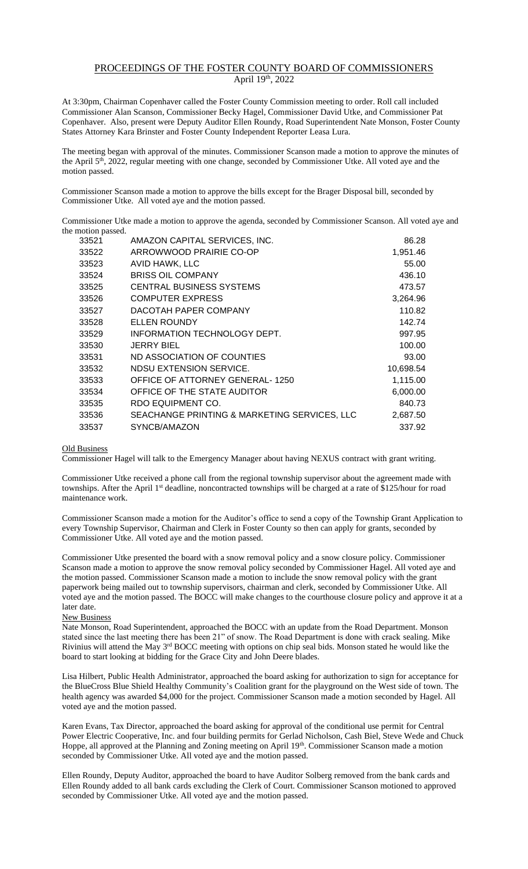## PROCEEDINGS OF THE FOSTER COUNTY BOARD OF COMMISSIONERS April 19th, 2022

At 3:30pm, Chairman Copenhaver called the Foster County Commission meeting to order. Roll call included Commissioner Alan Scanson, Commissioner Becky Hagel, Commissioner David Utke, and Commissioner Pat Copenhaver. Also, present were Deputy Auditor Ellen Roundy, Road Superintendent Nate Monson, Foster County States Attorney Kara Brinster and Foster County Independent Reporter Leasa Lura.

The meeting began with approval of the minutes. Commissioner Scanson made a motion to approve the minutes of the April 5<sup>th</sup>, 2022, regular meeting with one change, seconded by Commissioner Utke. All voted aye and the motion passed.

Commissioner Scanson made a motion to approve the bills except for the Brager Disposal bill, seconded by Commissioner Utke. All voted aye and the motion passed.

Commissioner Utke made a motion to approve the agenda, seconded by Commissioner Scanson. All voted aye and the motion passed.

| AMAZON CAPITAL SERVICES, INC.                | 86.28     |
|----------------------------------------------|-----------|
| ARROWWOOD PRAIRIE CO-OP                      | 1,951.46  |
| AVID HAWK, LLC                               | 55.00     |
| <b>BRISS OIL COMPANY</b>                     | 436.10    |
| <b>CENTRAL BUSINESS SYSTEMS</b>              | 473.57    |
| <b>COMPUTER EXPRESS</b>                      | 3,264.96  |
| DACOTAH PAPER COMPANY                        | 110.82    |
| <b>ELLEN ROUNDY</b>                          | 142.74    |
| INFORMATION TECHNOLOGY DEPT.                 | 997.95    |
| <b>JERRY BIEL</b>                            | 100.00    |
| ND ASSOCIATION OF COUNTIES                   | 93.00     |
| NDSU EXTENSION SERVICE.                      | 10,698.54 |
| OFFICE OF ATTORNEY GENERAL-1250              | 1,115.00  |
| OFFICE OF THE STATE AUDITOR                  | 6,000.00  |
| RDO EQUIPMENT CO.                            | 840.73    |
| SEACHANGE PRINTING & MARKETING SERVICES, LLC | 2,687.50  |
| SYNCB/AMAZON                                 | 337.92    |
|                                              |           |

## Old Business

Commissioner Hagel will talk to the Emergency Manager about having NEXUS contract with grant writing.

Commissioner Utke received a phone call from the regional township supervisor about the agreement made with townships. After the April 1<sup>st</sup> deadline, noncontracted townships will be charged at a rate of \$125/hour for road maintenance work.

Commissioner Scanson made a motion for the Auditor's office to send a copy of the Township Grant Application to every Township Supervisor, Chairman and Clerk in Foster County so then can apply for grants, seconded by Commissioner Utke. All voted aye and the motion passed.

Commissioner Utke presented the board with a snow removal policy and a snow closure policy. Commissioner Scanson made a motion to approve the snow removal policy seconded by Commissioner Hagel. All voted aye and the motion passed. Commissioner Scanson made a motion to include the snow removal policy with the grant paperwork being mailed out to township supervisors, chairman and clerk, seconded by Commissioner Utke. All voted aye and the motion passed. The BOCC will make changes to the courthouse closure policy and approve it at a later date.

## New Business

Nate Monson, Road Superintendent, approached the BOCC with an update from the Road Department. Monson stated since the last meeting there has been 21" of snow. The Road Department is done with crack sealing. Mike Rivinius will attend the May 3rd BOCC meeting with options on chip seal bids. Monson stated he would like the board to start looking at bidding for the Grace City and John Deere blades.

Lisa Hilbert, Public Health Administrator, approached the board asking for authorization to sign for acceptance for the BlueCross Blue Shield Healthy Community's Coalition grant for the playground on the West side of town. The health agency was awarded \$4,000 for the project. Commissioner Scanson made a motion seconded by Hagel. All voted aye and the motion passed.

Karen Evans, Tax Director, approached the board asking for approval of the conditional use permit for Central Power Electric Cooperative, Inc. and four building permits for Gerlad Nicholson, Cash Biel, Steve Wede and Chuck Hoppe, all approved at the Planning and Zoning meeting on April 19th. Commissioner Scanson made a motion seconded by Commissioner Utke. All voted aye and the motion passed.

Ellen Roundy, Deputy Auditor, approached the board to have Auditor Solberg removed from the bank cards and Ellen Roundy added to all bank cards excluding the Clerk of Court. Commissioner Scanson motioned to approved seconded by Commissioner Utke. All voted aye and the motion passed.